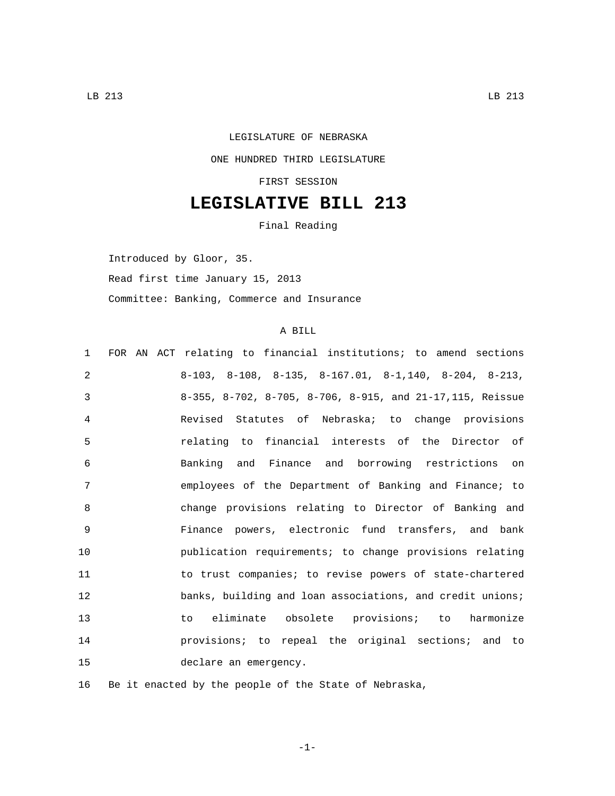## LEGISLATURE OF NEBRASKA ONE HUNDRED THIRD LEGISLATURE FIRST SESSION

## **LEGISLATIVE BILL 213**

Final Reading

Introduced by Gloor, 35. Read first time January 15, 2013 Committee: Banking, Commerce and Insurance

## A BILL

| $\mathbf{1}$ | FOR AN ACT relating to financial institutions; to amend sections          |
|--------------|---------------------------------------------------------------------------|
| 2            | $8-103$ , $8-108$ , $8-135$ , $8-167.01$ , $8-1140$ , $8-204$ , $8-213$ , |
| 3            | 8-355, 8-702, 8-705, 8-706, 8-915, and 21-17,115, Reissue                 |
| 4            | Revised Statutes of Nebraska; to change provisions                        |
| 5            | relating to financial interests of the Director of                        |
| 6            | Banking and Finance and borrowing restrictions on                         |
| 7            | employees of the Department of Banking and Finance; to                    |
| 8            | change provisions relating to Director of Banking and                     |
| 9            | Finance powers, electronic fund transfers, and bank                       |
| 10           | publication requirements; to change provisions relating                   |
| 11           | to trust companies; to revise powers of state-chartered                   |
| 12           | banks, building and loan associations, and credit unions;                 |
| 13           | to eliminate obsolete provisions; to harmonize                            |
| 14           | provisions; to repeal the original sections; and to                       |
| 15           | declare an emergency.                                                     |

16 Be it enacted by the people of the State of Nebraska,

-1-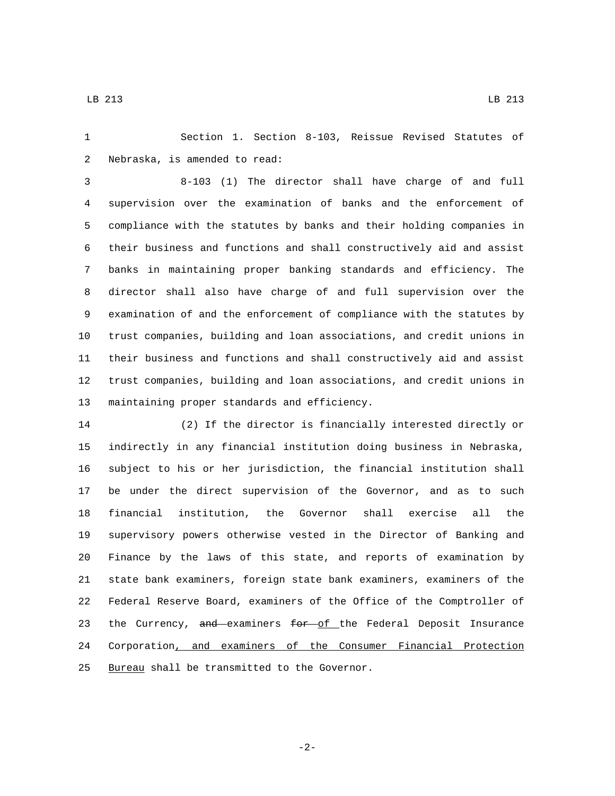Section 1. Section 8-103, Reissue Revised Statutes of 2 Nebraska, is amended to read:

 8-103 (1) The director shall have charge of and full supervision over the examination of banks and the enforcement of compliance with the statutes by banks and their holding companies in their business and functions and shall constructively aid and assist banks in maintaining proper banking standards and efficiency. The director shall also have charge of and full supervision over the examination of and the enforcement of compliance with the statutes by trust companies, building and loan associations, and credit unions in their business and functions and shall constructively aid and assist trust companies, building and loan associations, and credit unions in 13 maintaining proper standards and efficiency.

 (2) If the director is financially interested directly or indirectly in any financial institution doing business in Nebraska, subject to his or her jurisdiction, the financial institution shall be under the direct supervision of the Governor, and as to such financial institution, the Governor shall exercise all the supervisory powers otherwise vested in the Director of Banking and Finance by the laws of this state, and reports of examination by state bank examiners, foreign state bank examiners, examiners of the Federal Reserve Board, examiners of the Office of the Comptroller of 23 the Currency, and examiners for of the Federal Deposit Insurance Corporation, and examiners of the Consumer Financial Protection 25 Bureau shall be transmitted to the Governor.

-2-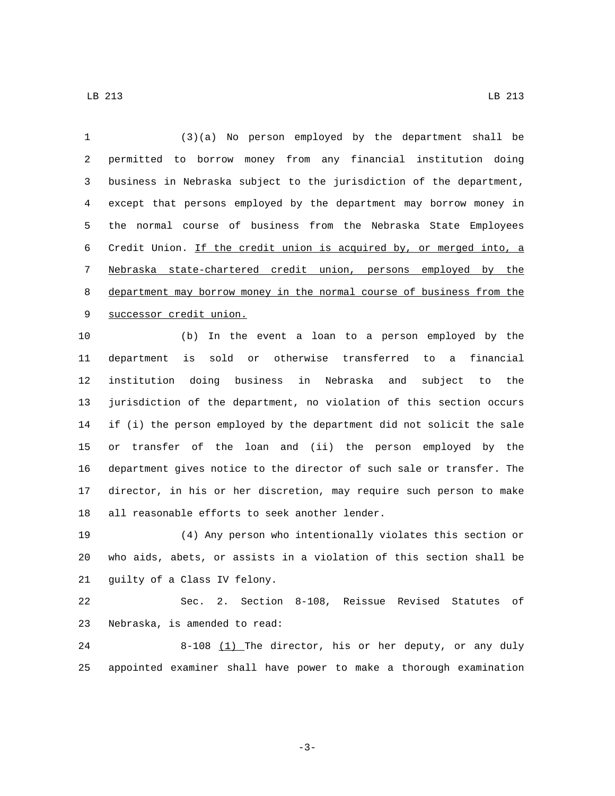(3)(a) No person employed by the department shall be permitted to borrow money from any financial institution doing business in Nebraska subject to the jurisdiction of the department, except that persons employed by the department may borrow money in the normal course of business from the Nebraska State Employees Credit Union. If the credit union is acquired by, or merged into, a Nebraska state-chartered credit union, persons employed by the department may borrow money in the normal course of business from the 9 successor credit union.

 (b) In the event a loan to a person employed by the department is sold or otherwise transferred to a financial institution doing business in Nebraska and subject to the jurisdiction of the department, no violation of this section occurs if (i) the person employed by the department did not solicit the sale or transfer of the loan and (ii) the person employed by the department gives notice to the director of such sale or transfer. The director, in his or her discretion, may require such person to make 18 all reasonable efforts to seek another lender.

 (4) Any person who intentionally violates this section or who aids, abets, or assists in a violation of this section shall be 21 guilty of a Class IV felony.

 Sec. 2. Section 8-108, Reissue Revised Statutes of 23 Nebraska, is amended to read:

 8-108 (1) The director, his or her deputy, or any duly appointed examiner shall have power to make a thorough examination

-3-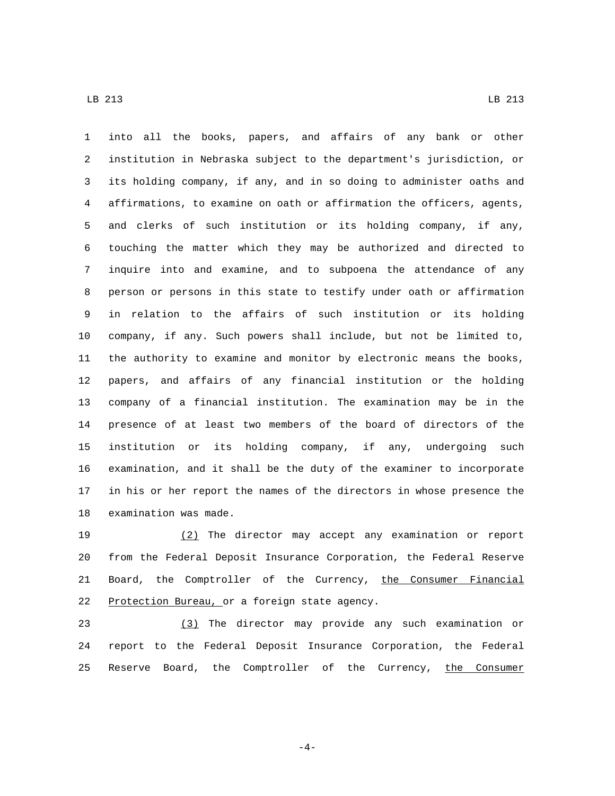into all the books, papers, and affairs of any bank or other institution in Nebraska subject to the department's jurisdiction, or its holding company, if any, and in so doing to administer oaths and affirmations, to examine on oath or affirmation the officers, agents, and clerks of such institution or its holding company, if any, touching the matter which they may be authorized and directed to inquire into and examine, and to subpoena the attendance of any person or persons in this state to testify under oath or affirmation in relation to the affairs of such institution or its holding company, if any. Such powers shall include, but not be limited to, the authority to examine and monitor by electronic means the books, papers, and affairs of any financial institution or the holding company of a financial institution. The examination may be in the presence of at least two members of the board of directors of the institution or its holding company, if any, undergoing such examination, and it shall be the duty of the examiner to incorporate in his or her report the names of the directors in whose presence the 18 examination was made.

 (2) The director may accept any examination or report from the Federal Deposit Insurance Corporation, the Federal Reserve 21 Board, the Comptroller of the Currency, the Consumer Financial 22 Protection Bureau, or a foreign state agency.

 (3) The director may provide any such examination or report to the Federal Deposit Insurance Corporation, the Federal 25 Reserve Board, the Comptroller of the Currency, the Consumer

-4-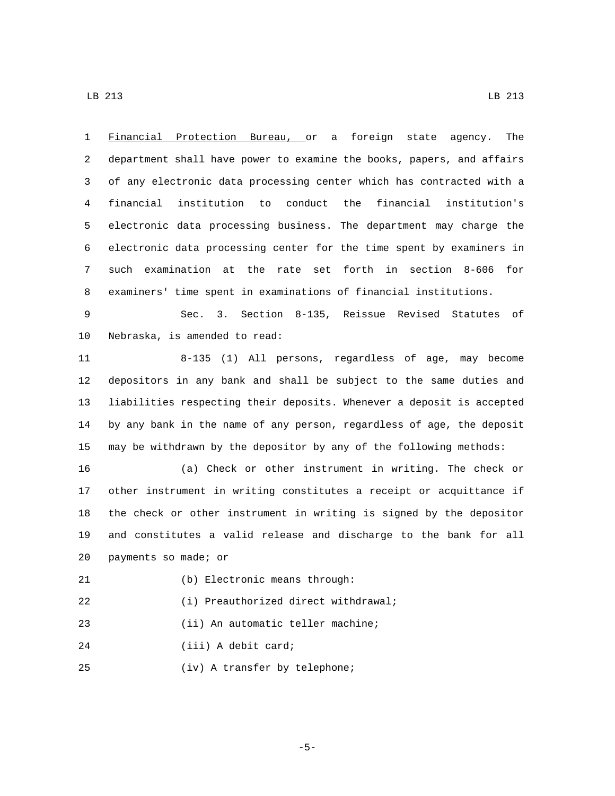Financial Protection Bureau, or a foreign state agency. The department shall have power to examine the books, papers, and affairs of any electronic data processing center which has contracted with a financial institution to conduct the financial institution's electronic data processing business. The department may charge the electronic data processing center for the time spent by examiners in such examination at the rate set forth in section 8-606 for examiners' time spent in examinations of financial institutions. Sec. 3. Section 8-135, Reissue Revised Statutes of 10 Nebraska, is amended to read: 8-135 (1) All persons, regardless of age, may become depositors in any bank and shall be subject to the same duties and liabilities respecting their deposits. Whenever a deposit is accepted by any bank in the name of any person, regardless of age, the deposit may be withdrawn by the depositor by any of the following methods: (a) Check or other instrument in writing. The check or other instrument in writing constitutes a receipt or acquittance if the check or other instrument in writing is signed by the depositor and constitutes a valid release and discharge to the bank for all 20 payments so made; or (b) Electronic means through:21 (i) Preauthorized direct withdrawal;22 23 (ii) An automatic teller machine; 24 (iii) A debit card; (iv) A transfer by telephone;25

-5-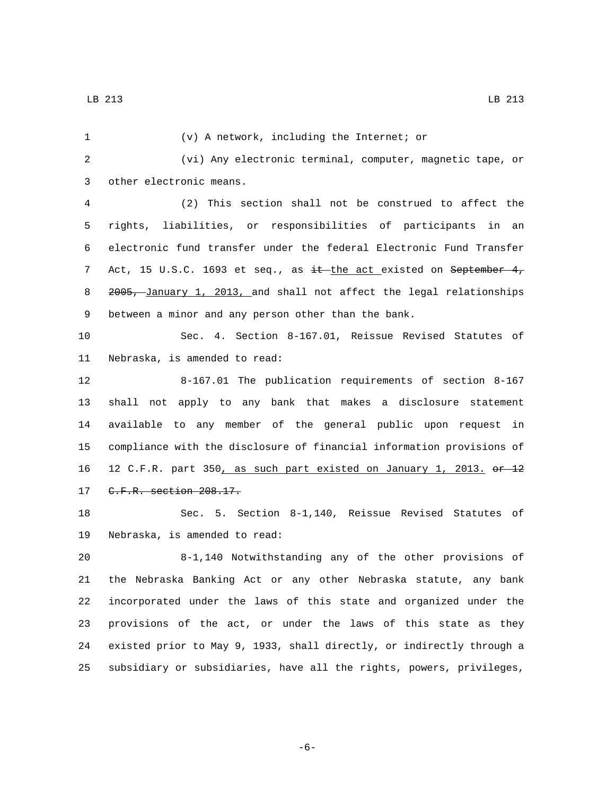| 1  | (v) A network, including the Internet; or                             |
|----|-----------------------------------------------------------------------|
| 2  | (vi) Any electronic terminal, computer, magnetic tape, or             |
| 3  | other electronic means.                                               |
| 4  | (2) This section shall not be construed to affect the                 |
| 5  | liabilities, or responsibilities of participants in an<br>rights,     |
| 6  | electronic fund transfer under the federal Electronic Fund Transfer   |
| 7  | Act, 15 U.S.C. 1693 et seq., as it the act existed on September 4,    |
| 8  | 2005, January 1, 2013, and shall not affect the legal relationships   |
| 9  | between a minor and any person other than the bank.                   |
| 10 | Sec. 4. Section 8-167.01, Reissue Revised Statutes of                 |
| 11 | Nebraska, is amended to read:                                         |
| 12 | 8-167.01 The publication requirements of section 8-167                |
| 13 | shall not apply to any bank that makes a disclosure statement         |
| 14 | available to any member of the general public upon request in         |
| 15 | compliance with the disclosure of financial information provisions of |
| 16 | 12 C.F.R. part 350, as such part existed on January 1, 2013. or 12    |
| 17 | C.F.R. section 208.17.                                                |
| 18 | Sec. 5. Section 8-1,140, Reissue Revised Statutes of                  |
| 19 | Nebraska, is amended to read:                                         |
| 20 | 8-1,140 Notwithstanding any of the other provisions of                |
| 21 | the Nebraska Banking Act or any other Nebraska statute, any bank      |
| 22 | incorporated under the laws of this state and organized under the     |
| 23 | provisions of the act, or under the laws of this state as they        |
| 24 | existed prior to May 9, 1933, shall directly, or indirectly through a |
| 25 | subsidiary or subsidiaries, have all the rights, powers, privileges,  |
|    |                                                                       |

-6-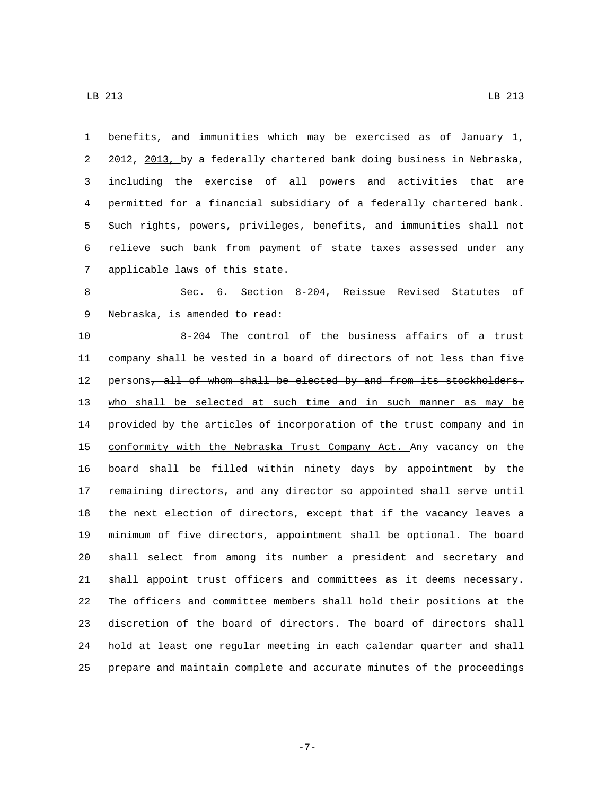7 applicable laws of this state.

 benefits, and immunities which may be exercised as of January 1, 2 2012, 2013, by a federally chartered bank doing business in Nebraska, including the exercise of all powers and activities that are permitted for a financial subsidiary of a federally chartered bank. Such rights, powers, privileges, benefits, and immunities shall not relieve such bank from payment of state taxes assessed under any

 Sec. 6. Section 8-204, Reissue Revised Statutes of 9 Nebraska, is amended to read:

 8-204 The control of the business affairs of a trust company shall be vested in a board of directors of not less than five 12 persons, all of whom shall be elected by and from its stockholders. who shall be selected at such time and in such manner as may be 14 provided by the articles of incorporation of the trust company and in 15 conformity with the Nebraska Trust Company Act. Any vacancy on the board shall be filled within ninety days by appointment by the remaining directors, and any director so appointed shall serve until the next election of directors, except that if the vacancy leaves a minimum of five directors, appointment shall be optional. The board shall select from among its number a president and secretary and shall appoint trust officers and committees as it deems necessary. The officers and committee members shall hold their positions at the discretion of the board of directors. The board of directors shall hold at least one regular meeting in each calendar quarter and shall prepare and maintain complete and accurate minutes of the proceedings

-7-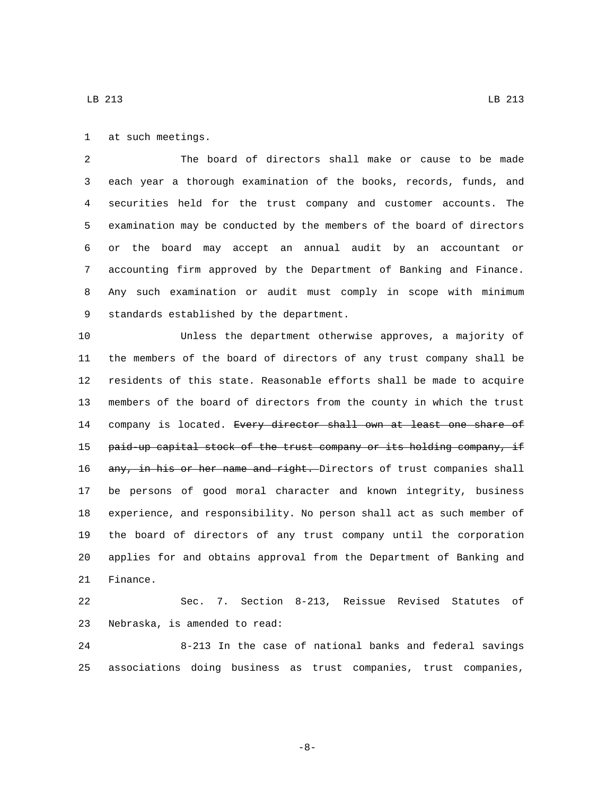1 at such meetings.

 The board of directors shall make or cause to be made each year a thorough examination of the books, records, funds, and securities held for the trust company and customer accounts. The examination may be conducted by the members of the board of directors or the board may accept an annual audit by an accountant or accounting firm approved by the Department of Banking and Finance. Any such examination or audit must comply in scope with minimum 9 standards established by the department.

 Unless the department otherwise approves, a majority of the members of the board of directors of any trust company shall be residents of this state. Reasonable efforts shall be made to acquire members of the board of directors from the county in which the trust 14 company is located. Every director shall own at least one share of 15 paid-up capital stock of the trust company or its holding company, if 16 any, in his or her name and right. Directors of trust companies shall be persons of good moral character and known integrity, business experience, and responsibility. No person shall act as such member of the board of directors of any trust company until the corporation applies for and obtains approval from the Department of Banking and 21 Finance.

 Sec. 7. Section 8-213, Reissue Revised Statutes of 23 Nebraska, is amended to read:

 8-213 In the case of national banks and federal savings associations doing business as trust companies, trust companies,

-8-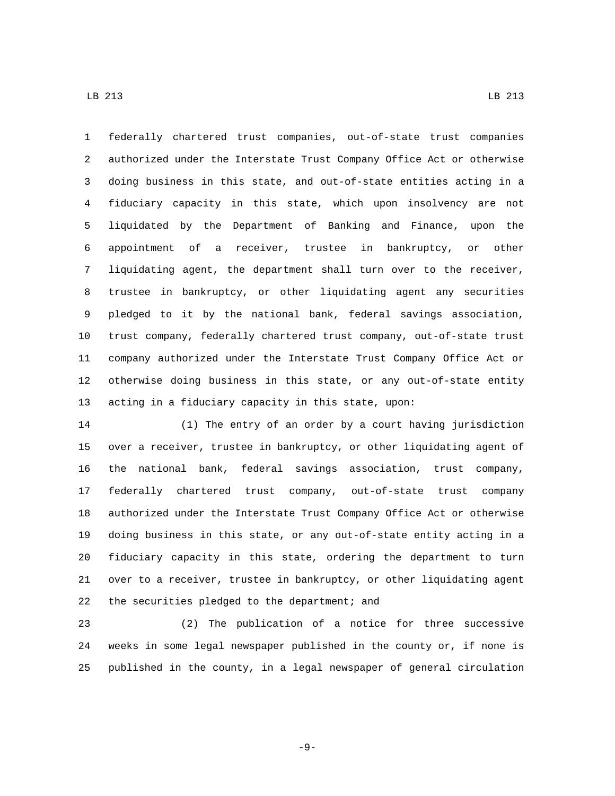federally chartered trust companies, out-of-state trust companies authorized under the Interstate Trust Company Office Act or otherwise doing business in this state, and out-of-state entities acting in a fiduciary capacity in this state, which upon insolvency are not liquidated by the Department of Banking and Finance, upon the appointment of a receiver, trustee in bankruptcy, or other liquidating agent, the department shall turn over to the receiver, trustee in bankruptcy, or other liquidating agent any securities pledged to it by the national bank, federal savings association, trust company, federally chartered trust company, out-of-state trust company authorized under the Interstate Trust Company Office Act or otherwise doing business in this state, or any out-of-state entity acting in a fiduciary capacity in this state, upon:

 (1) The entry of an order by a court having jurisdiction over a receiver, trustee in bankruptcy, or other liquidating agent of the national bank, federal savings association, trust company, federally chartered trust company, out-of-state trust company authorized under the Interstate Trust Company Office Act or otherwise doing business in this state, or any out-of-state entity acting in a fiduciary capacity in this state, ordering the department to turn over to a receiver, trustee in bankruptcy, or other liquidating agent 22 the securities pledged to the department; and

 (2) The publication of a notice for three successive weeks in some legal newspaper published in the county or, if none is published in the county, in a legal newspaper of general circulation

-9-

LB 213 LB  $\alpha$  LB  $\alpha$  LB  $\alpha$  LB  $\alpha$  LB  $\alpha$  LB  $\alpha$  LB  $\alpha$  LB  $\alpha$  LB  $\alpha$  LB  $\alpha$  LB  $\alpha$  LB  $\alpha$  LB  $\alpha$  LB  $\alpha$  LB  $\alpha$  LB  $\alpha$  LB  $\alpha$  LB  $\alpha$  LB  $\alpha$  LB  $\alpha$  LB  $\alpha$  LB  $\alpha$  LB  $\alpha$  LB  $\alpha$  LB  $\alpha$  LB  $\alpha$  LB  $\alpha$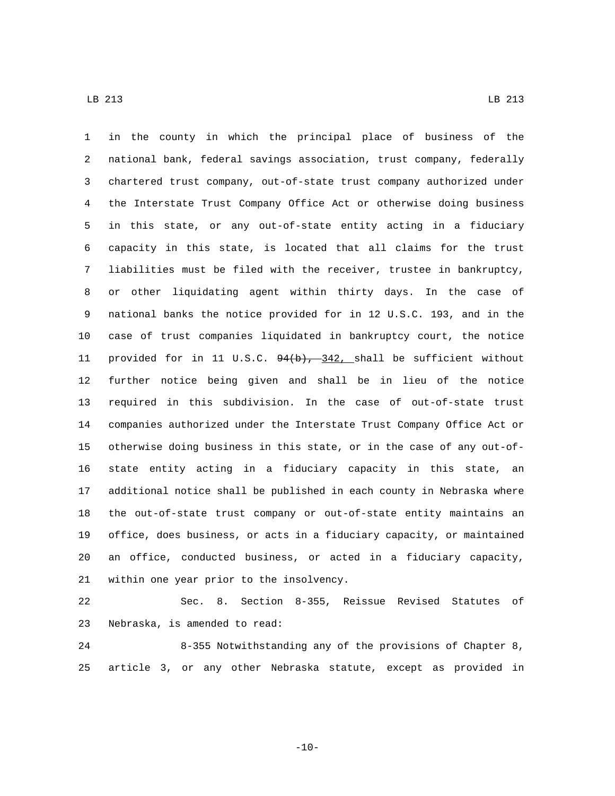in the county in which the principal place of business of the national bank, federal savings association, trust company, federally chartered trust company, out-of-state trust company authorized under the Interstate Trust Company Office Act or otherwise doing business in this state, or any out-of-state entity acting in a fiduciary capacity in this state, is located that all claims for the trust liabilities must be filed with the receiver, trustee in bankruptcy, or other liquidating agent within thirty days. In the case of national banks the notice provided for in 12 U.S.C. 193, and in the case of trust companies liquidated in bankruptcy court, the notice 11 provided for in 11 U.S.C.  $94(b)$ ,  $-342$ , shall be sufficient without further notice being given and shall be in lieu of the notice required in this subdivision. In the case of out-of-state trust companies authorized under the Interstate Trust Company Office Act or otherwise doing business in this state, or in the case of any out-of- state entity acting in a fiduciary capacity in this state, an additional notice shall be published in each county in Nebraska where the out-of-state trust company or out-of-state entity maintains an office, does business, or acts in a fiduciary capacity, or maintained an office, conducted business, or acted in a fiduciary capacity, 21 within one year prior to the insolvency.

 Sec. 8. Section 8-355, Reissue Revised Statutes of 23 Nebraska, is amended to read:

 8-355 Notwithstanding any of the provisions of Chapter 8, article 3, or any other Nebraska statute, except as provided in

 $-10-$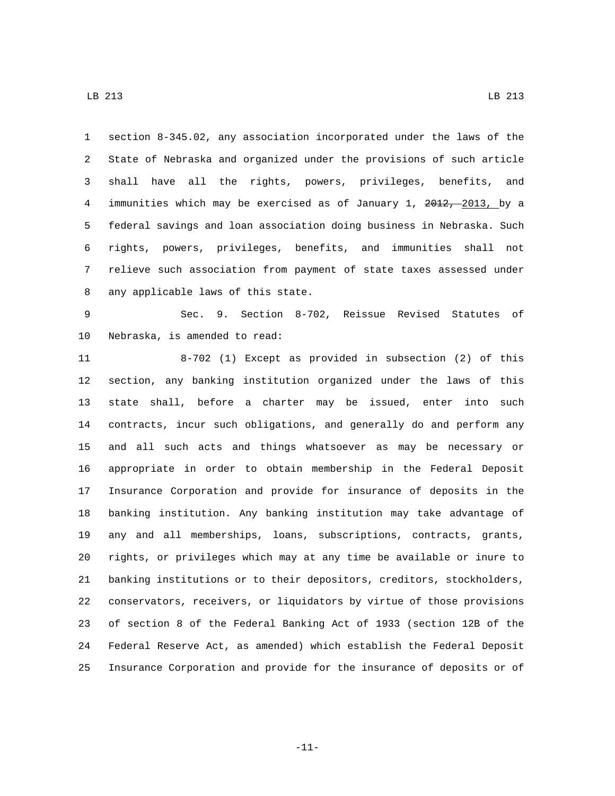section 8-345.02, any association incorporated under the laws of the State of Nebraska and organized under the provisions of such article shall have all the rights, powers, privileges, benefits, and 4 immunities which may be exercised as of January 1, 2012, 2013, by a federal savings and loan association doing business in Nebraska. Such rights, powers, privileges, benefits, and immunities shall not relieve such association from payment of state taxes assessed under 8 any applicable laws of this state.

 Sec. 9. Section 8-702, Reissue Revised Statutes of 10 Nebraska, is amended to read:

 8-702 (1) Except as provided in subsection (2) of this section, any banking institution organized under the laws of this state shall, before a charter may be issued, enter into such contracts, incur such obligations, and generally do and perform any and all such acts and things whatsoever as may be necessary or appropriate in order to obtain membership in the Federal Deposit Insurance Corporation and provide for insurance of deposits in the banking institution. Any banking institution may take advantage of any and all memberships, loans, subscriptions, contracts, grants, rights, or privileges which may at any time be available or inure to banking institutions or to their depositors, creditors, stockholders, conservators, receivers, or liquidators by virtue of those provisions of section 8 of the Federal Banking Act of 1933 (section 12B of the Federal Reserve Act, as amended) which establish the Federal Deposit Insurance Corporation and provide for the insurance of deposits or of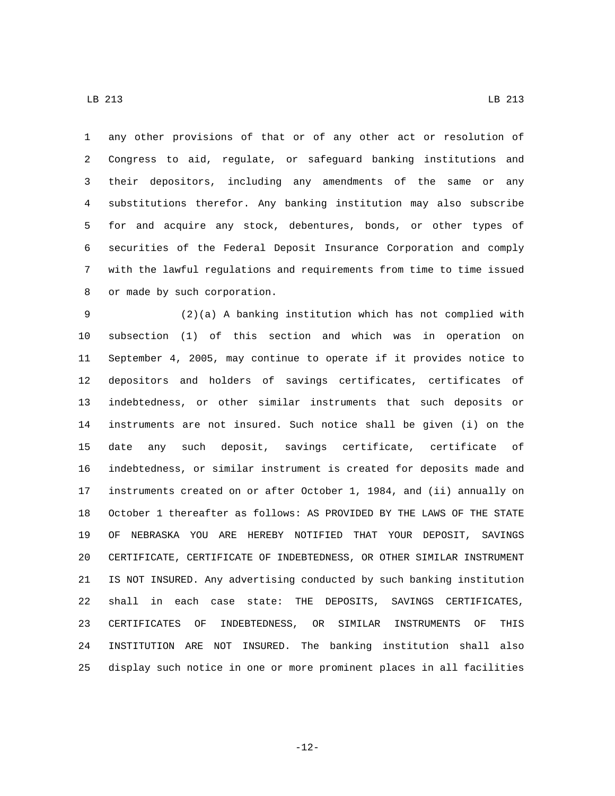any other provisions of that or of any other act or resolution of Congress to aid, regulate, or safeguard banking institutions and their depositors, including any amendments of the same or any substitutions therefor. Any banking institution may also subscribe for and acquire any stock, debentures, bonds, or other types of securities of the Federal Deposit Insurance Corporation and comply with the lawful regulations and requirements from time to time issued 8 or made by such corporation.

 (2)(a) A banking institution which has not complied with subsection (1) of this section and which was in operation on September 4, 2005, may continue to operate if it provides notice to depositors and holders of savings certificates, certificates of indebtedness, or other similar instruments that such deposits or instruments are not insured. Such notice shall be given (i) on the date any such deposit, savings certificate, certificate of indebtedness, or similar instrument is created for deposits made and instruments created on or after October 1, 1984, and (ii) annually on October 1 thereafter as follows: AS PROVIDED BY THE LAWS OF THE STATE OF NEBRASKA YOU ARE HEREBY NOTIFIED THAT YOUR DEPOSIT, SAVINGS CERTIFICATE, CERTIFICATE OF INDEBTEDNESS, OR OTHER SIMILAR INSTRUMENT IS NOT INSURED. Any advertising conducted by such banking institution shall in each case state: THE DEPOSITS, SAVINGS CERTIFICATES, CERTIFICATES OF INDEBTEDNESS, OR SIMILAR INSTRUMENTS OF THIS INSTITUTION ARE NOT INSURED. The banking institution shall also display such notice in one or more prominent places in all facilities

-12-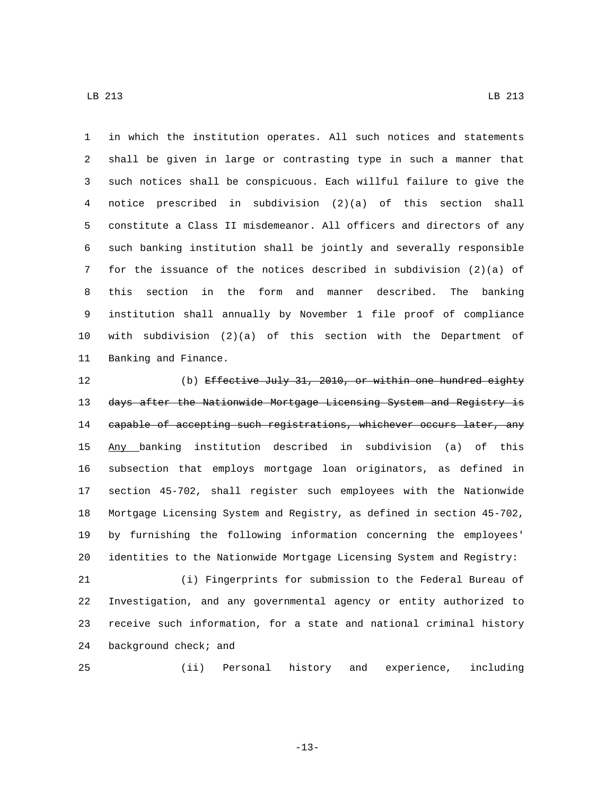in which the institution operates. All such notices and statements shall be given in large or contrasting type in such a manner that such notices shall be conspicuous. Each willful failure to give the notice prescribed in subdivision (2)(a) of this section shall constitute a Class II misdemeanor. All officers and directors of any such banking institution shall be jointly and severally responsible for the issuance of the notices described in subdivision (2)(a) of this section in the form and manner described. The banking institution shall annually by November 1 file proof of compliance with subdivision (2)(a) of this section with the Department of

11 Banking and Finance.

 (b) Effective July 31, 2010, or within one hundred eighty 13 days after the Nationwide Mortgage Licensing System and Registry is 14 capable of accepting such registrations, whichever occurs later, any Any banking institution described in subdivision (a) of this subsection that employs mortgage loan originators, as defined in section 45-702, shall register such employees with the Nationwide Mortgage Licensing System and Registry, as defined in section 45-702, by furnishing the following information concerning the employees' identities to the Nationwide Mortgage Licensing System and Registry:

 (i) Fingerprints for submission to the Federal Bureau of Investigation, and any governmental agency or entity authorized to receive such information, for a state and national criminal history 24 background check; and

(ii) Personal history and experience, including

-13-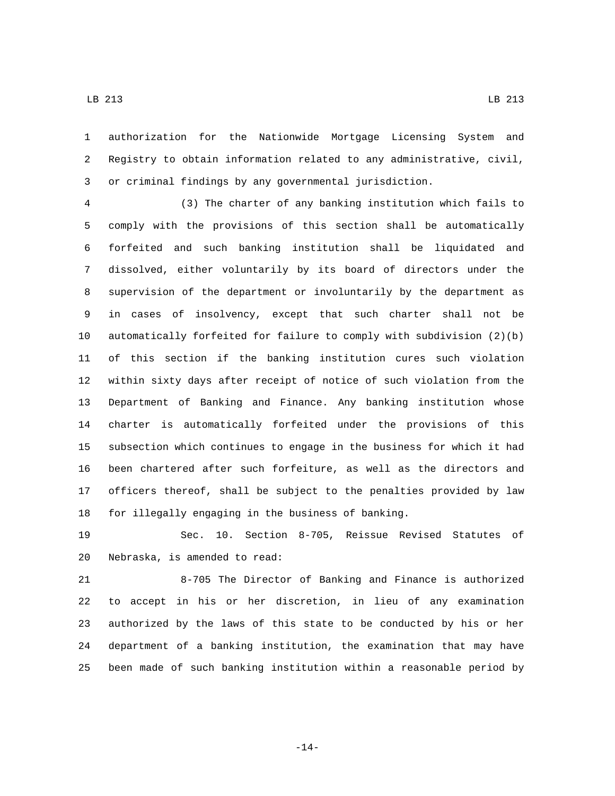authorization for the Nationwide Mortgage Licensing System and Registry to obtain information related to any administrative, civil, or criminal findings by any governmental jurisdiction.

 (3) The charter of any banking institution which fails to comply with the provisions of this section shall be automatically forfeited and such banking institution shall be liquidated and dissolved, either voluntarily by its board of directors under the supervision of the department or involuntarily by the department as in cases of insolvency, except that such charter shall not be automatically forfeited for failure to comply with subdivision (2)(b) of this section if the banking institution cures such violation within sixty days after receipt of notice of such violation from the Department of Banking and Finance. Any banking institution whose charter is automatically forfeited under the provisions of this subsection which continues to engage in the business for which it had been chartered after such forfeiture, as well as the directors and officers thereof, shall be subject to the penalties provided by law for illegally engaging in the business of banking.

 Sec. 10. Section 8-705, Reissue Revised Statutes of 20 Nebraska, is amended to read:

 8-705 The Director of Banking and Finance is authorized to accept in his or her discretion, in lieu of any examination authorized by the laws of this state to be conducted by his or her department of a banking institution, the examination that may have been made of such banking institution within a reasonable period by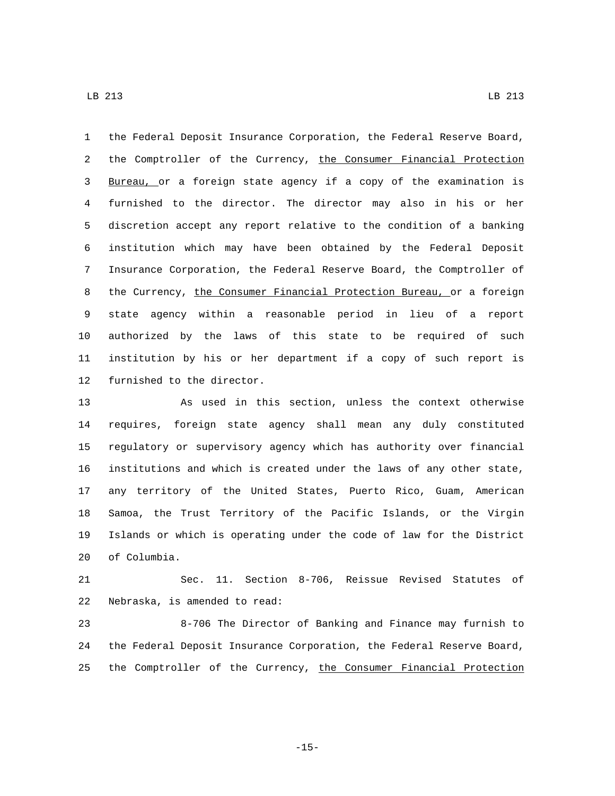the Federal Deposit Insurance Corporation, the Federal Reserve Board, 2 the Comptroller of the Currency, the Consumer Financial Protection Bureau, or a foreign state agency if a copy of the examination is furnished to the director. The director may also in his or her discretion accept any report relative to the condition of a banking institution which may have been obtained by the Federal Deposit Insurance Corporation, the Federal Reserve Board, the Comptroller of 8 the Currency, the Consumer Financial Protection Bureau, or a foreign state agency within a reasonable period in lieu of a report authorized by the laws of this state to be required of such institution by his or her department if a copy of such report is 12 furnished to the director.

 As used in this section, unless the context otherwise requires, foreign state agency shall mean any duly constituted regulatory or supervisory agency which has authority over financial institutions and which is created under the laws of any other state, any territory of the United States, Puerto Rico, Guam, American Samoa, the Trust Territory of the Pacific Islands, or the Virgin Islands or which is operating under the code of law for the District 20 of Columbia.

 Sec. 11. Section 8-706, Reissue Revised Statutes of 22 Nebraska, is amended to read:

 8-706 The Director of Banking and Finance may furnish to the Federal Deposit Insurance Corporation, the Federal Reserve Board, 25 the Comptroller of the Currency, the Consumer Financial Protection

LB 213 LB  $\alpha$  LB  $\alpha$  LB  $\alpha$  LB  $\alpha$  LB  $\alpha$  LB  $\alpha$  LB  $\alpha$  LB  $\alpha$  LB  $\alpha$  LB  $\alpha$  LB  $\alpha$  LB  $\alpha$  LB  $\alpha$  LB  $\alpha$  LB  $\alpha$  LB  $\alpha$  LB  $\alpha$  LB  $\alpha$  LB  $\alpha$  LB  $\alpha$  LB  $\alpha$  LB  $\alpha$  LB  $\alpha$  LB  $\alpha$  LB  $\alpha$  LB  $\alpha$  LB  $\alpha$ 

-15-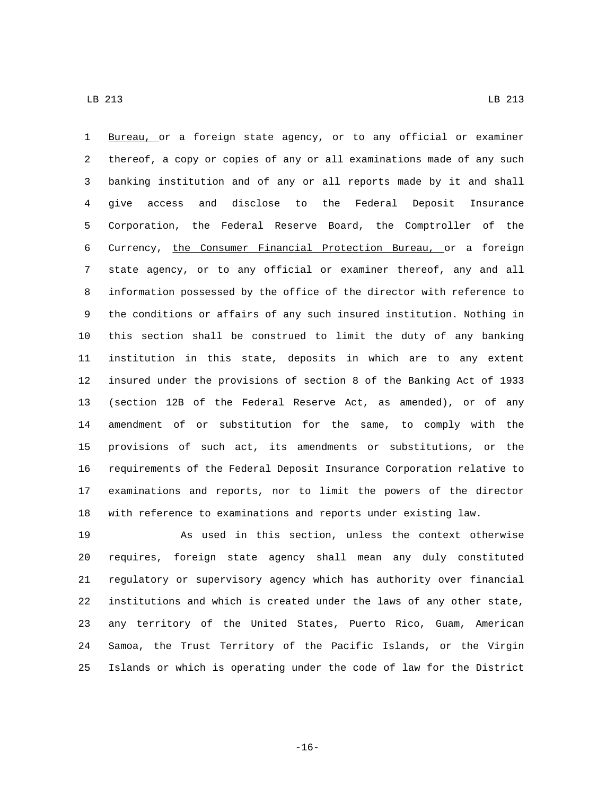Bureau, or a foreign state agency, or to any official or examiner thereof, a copy or copies of any or all examinations made of any such banking institution and of any or all reports made by it and shall give access and disclose to the Federal Deposit Insurance Corporation, the Federal Reserve Board, the Comptroller of the Currency, the Consumer Financial Protection Bureau, or a foreign state agency, or to any official or examiner thereof, any and all information possessed by the office of the director with reference to the conditions or affairs of any such insured institution. Nothing in this section shall be construed to limit the duty of any banking institution in this state, deposits in which are to any extent insured under the provisions of section 8 of the Banking Act of 1933 (section 12B of the Federal Reserve Act, as amended), or of any amendment of or substitution for the same, to comply with the provisions of such act, its amendments or substitutions, or the requirements of the Federal Deposit Insurance Corporation relative to examinations and reports, nor to limit the powers of the director with reference to examinations and reports under existing law.

 As used in this section, unless the context otherwise requires, foreign state agency shall mean any duly constituted regulatory or supervisory agency which has authority over financial institutions and which is created under the laws of any other state, any territory of the United States, Puerto Rico, Guam, American Samoa, the Trust Territory of the Pacific Islands, or the Virgin Islands or which is operating under the code of law for the District

-16-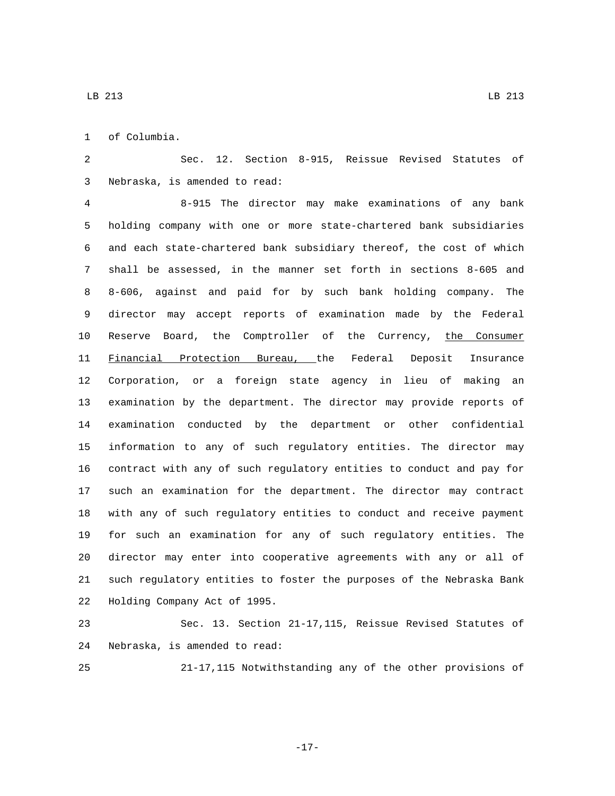of Columbia.1

 Sec. 12. Section 8-915, Reissue Revised Statutes of Nebraska, is amended to read:3

 8-915 The director may make examinations of any bank holding company with one or more state-chartered bank subsidiaries and each state-chartered bank subsidiary thereof, the cost of which shall be assessed, in the manner set forth in sections 8-605 and 8-606, against and paid for by such bank holding company. The director may accept reports of examination made by the Federal Reserve Board, the Comptroller of the Currency, the Consumer Financial Protection Bureau, the Federal Deposit Insurance Corporation, or a foreign state agency in lieu of making an examination by the department. The director may provide reports of examination conducted by the department or other confidential information to any of such regulatory entities. The director may contract with any of such regulatory entities to conduct and pay for such an examination for the department. The director may contract with any of such regulatory entities to conduct and receive payment for such an examination for any of such regulatory entities. The director may enter into cooperative agreements with any or all of such regulatory entities to foster the purposes of the Nebraska Bank 22 Holding Company Act of 1995.

 Sec. 13. Section 21-17,115, Reissue Revised Statutes of 24 Nebraska, is amended to read:

21-17,115 Notwithstanding any of the other provisions of

-17-